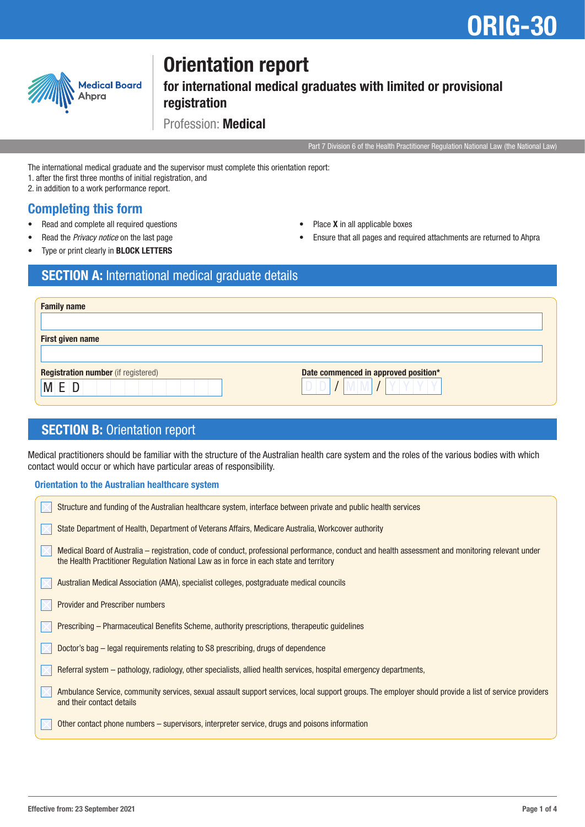# ORIG-30



## Orientation report

for international medical graduates with limited or provisional registration

Profession: Medical

Part 7 Division 6 of the Health Practitioner Regulation National Law (the National Law)

The international medical graduate and the supervisor must complete this orientation report:

- 1. after the first three months of initial registration, and
- 2. in addition to a work performance report.

### Completing this form

- Read and complete all required questions
- Read the *Privacy notice* on the last page
- Place **X** in all applicable boxes
	- Ensure that all pages and required attachments are returned to Ahpra

Type or print clearly in **BLOCK LETTERS** 

## SECTION A: International medical graduate details

| <b>Family name</b>                         |                                      |
|--------------------------------------------|--------------------------------------|
|                                            |                                      |
| First given name                           |                                      |
|                                            |                                      |
| <b>Registration number</b> (if registered) | Date commenced in approved position* |
| M E D                                      |                                      |
|                                            |                                      |

## **SECTION B: Orientation report**

Medical practitioners should be familiar with the structure of the Australian health care system and the roles of the various bodies with which contact would occur or which have particular areas of responsibility.

#### Orientation to the Australian healthcare system

| Structure and funding of the Australian healthcare system, interface between private and public health services                                                                                                                              |
|----------------------------------------------------------------------------------------------------------------------------------------------------------------------------------------------------------------------------------------------|
| State Department of Health, Department of Veterans Affairs, Medicare Australia, Workcover authority                                                                                                                                          |
| Medical Board of Australia – registration, code of conduct, professional performance, conduct and health assessment and monitoring relevant under<br>the Health Practitioner Regulation National Law as in force in each state and territory |
| Australian Medical Association (AMA), specialist colleges, postgraduate medical councils                                                                                                                                                     |
| Provider and Prescriber numbers                                                                                                                                                                                                              |
| Prescribing – Pharmaceutical Benefits Scheme, authority prescriptions, therapeutic guidelines                                                                                                                                                |
| Doctor's bag – legal requirements relating to S8 prescribing, drugs of dependence                                                                                                                                                            |
| Referral system – pathology, radiology, other specialists, allied health services, hospital emergency departments,                                                                                                                           |
| Ambulance Service, community services, sexual assault support services, local support groups. The employer should provide a list of service providers<br>and their contact details                                                           |
| Other contact phone numbers - supervisors, interpreter service, drugs and poisons information                                                                                                                                                |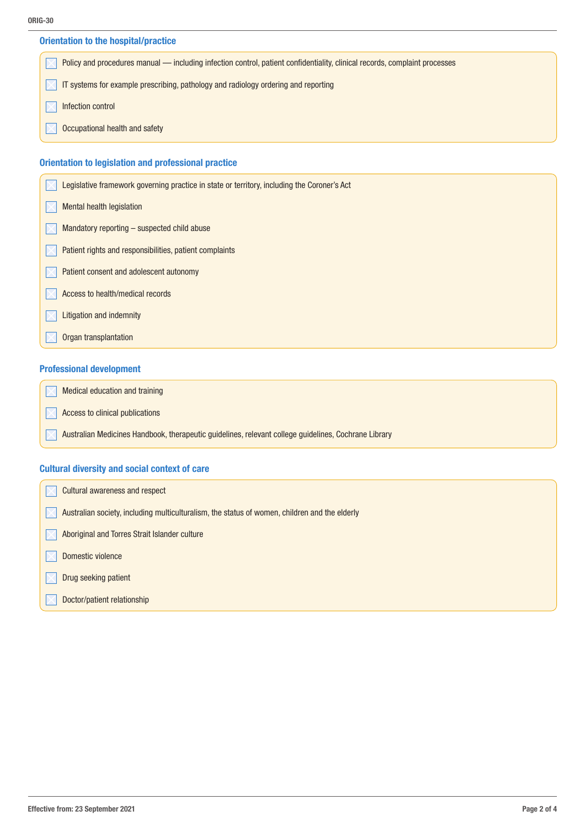| <b>Orientation to the hospital/practice</b>                                                                                |  |  |
|----------------------------------------------------------------------------------------------------------------------------|--|--|
| Policy and procedures manual — including infection control, patient confidentiality, clinical records, complaint processes |  |  |
| IT systems for example prescribing, pathology and radiology ordering and reporting                                         |  |  |
| Infection control                                                                                                          |  |  |
| Occupational health and safety                                                                                             |  |  |
|                                                                                                                            |  |  |
| Orientation to legislation and professional practice                                                                       |  |  |
| Legislative framework governing practice in state or territory, including the Coroner's Act                                |  |  |

| Mental health legislation |  |
|---------------------------|--|
|---------------------------|--|

- $\sqrt{\phantom{a}}$  Mandatory reporting suspected child abuse
- Patient rights and responsibilities, patient complaints  $\mathbb{M}$
- Patient consent and adolescent autonomy
- Access to health/medical records
- Litigation and indemnity  $\mathsf{I}\mathsf{X}$
- Organ transplantation

#### Professional development

Medical education and training  $\boldsymbol{\nabla}$ 

- Access to clinical publications
	- Australian Medicines Handbook, therapeutic guidelines, relevant college guidelines, Cochrane Library

#### Cultural diversity and social context of care

| <b>Cultural awareness and respect</b>                                                         |
|-----------------------------------------------------------------------------------------------|
| Australian society, including multiculturalism, the status of women, children and the elderly |
| Aboriginal and Torres Strait Islander culture                                                 |
| Domestic violence                                                                             |
| Drug seeking patient                                                                          |
| Doctor/patient relationship                                                                   |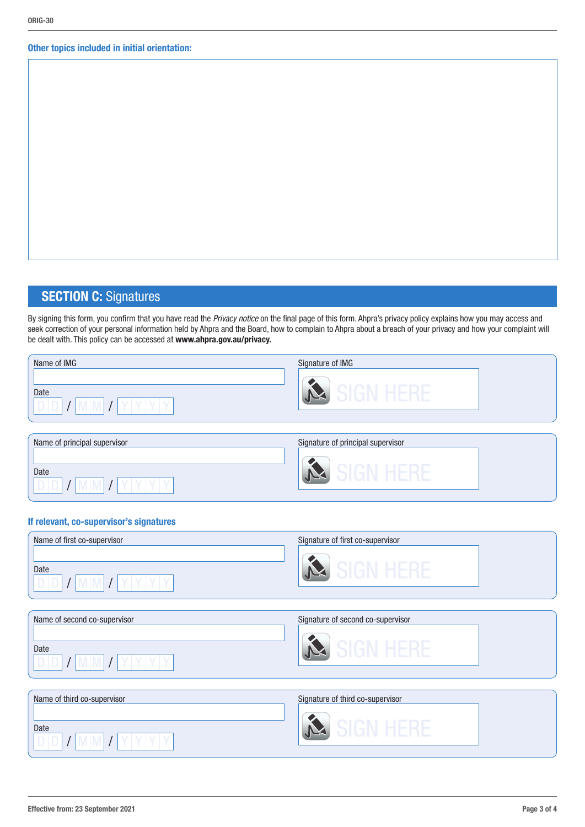#### Other topics included in initial orientation:

## **SECTION C: Signatures**

By signing this form, you confirm that you have read the *Privacy notice* on the final page of this form. Ahpra's privacy policy explains how you may access and seek correction of your personal information held by Ahpra and the Board, how to complain to Ahpra about a breach of your privacy and how your complaint will be dealt with. This policy can be accessed at www.ahpra.gov.au/privacy.

| Name of IMG | Signature of IMG |
|-------------|------------------|
| Date        |                  |
|             |                  |

| Name of principal supervisor | Signature of principal supervisor |  |
|------------------------------|-----------------------------------|--|
|                              |                                   |  |
| Date                         |                                   |  |
|                              |                                   |  |
|                              |                                   |  |

#### If relevant, co-supervisor's signatures

| Name of first co-supervisor | Signature of first co-supervisor |  |
|-----------------------------|----------------------------------|--|
| Date                        |                                  |  |

| Name of second co-supervisor | Signature of second co-supervisor |  |
|------------------------------|-----------------------------------|--|
|                              |                                   |  |
| Date                         |                                   |  |
|                              |                                   |  |
|                              |                                   |  |
|                              |                                   |  |

| Name of third co-supervisor | Signature of third co-supervisor |
|-----------------------------|----------------------------------|
| Date                        |                                  |